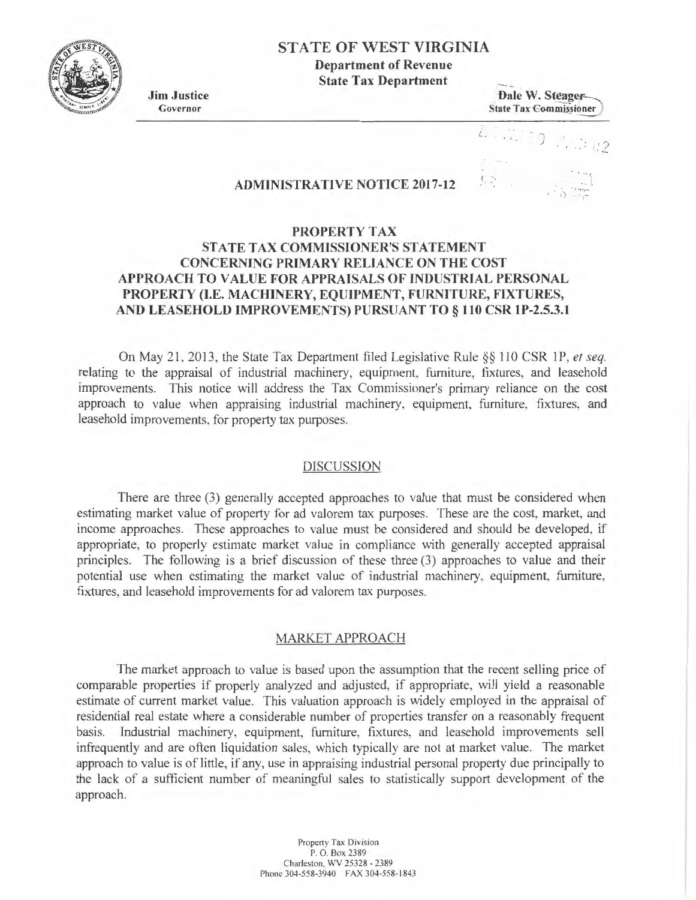## **STA TE OF WEST VIRGINIA**

**Department of Revenue State Tax Department** 

**Jim Justice**  Governor

**Dale W. Steager-**State Tax Commissioner

i.  $1.11$  $\bigcap$ *2* 

 $\mathbb{R}^{\mathbb{Z}_{2}}$ 

## **ADMINISTRATIVE NOTICE 2017-12**

# **PROPERTY TAX STATE TAX COMMISSIONER'S STATEMENT CONCERNING PRIMARY RELIANCE ON THE COST APPROACH TO VALUE FOR APPRAISALS OF INDUSTRIAL PERSONAL PROPERTY (I.E. MACHINERY, EQUIPMENT, FURNITURE, FIXTURES, AND LEASEHOLD IMPROVEMENTS) PURSUANT TO§ 110 CSR lP-2.5.3.1**

On May 21, 2013, the State Tax Department filed Legislative Rule §§ 110 CSR IP, *et seq.*  relating to the appraisal of industrial machinery, equipment, furniture, fixtures, and leasehold improvements. This notice will address the Tax Commissioner's primary reliance on the cost approach to value when appraising industrial machinery, equipment, furniture, fixtures, and leasehold improvements, for property tax purposes.

#### DISCUSSION

There are three (3) generally accepted approaches to value that must be considered when estimating market value of property for ad valorem tax purposes. These are the cost, market, and income approaches. These approaches to value must be considered and should be developed, if appropriate, to properly estimate market value in compliance with generally accepted appraisal principles. The following is a brief discussion of these three (3) approaches to value and their potential use when estimating the market value of industrial machinery. equipment, furniture, fixtures, and leasehold improvements for ad valorem tax purposes.

### MARKET APPROACH

The market approach to value is based upon the assumption that the recent selling price of comparable properties if properly analyzed and adjusted, if appropriate, will yield a reasonable estimate of current market value. This valuation approach is widely employed in the appraisal of residential real estate where a considerable number of properties transfer on a reasonably frequent basis. Industrial machinery. equipment, furniture, fixtures, and leasehold improvements sell infrequently and are often liquidation sales, which typically are not at market value. The market approach to value is of little, if any, use in appraising industrial personal property due principally to the lack of a sufficient number of meaningful sales to statistically support development of the approach.

> Property Tax Division P. O. Box 2389 Charleston, *WV* 25328 - 2389 Phone 304-558-3940 FAX 304-558-1843

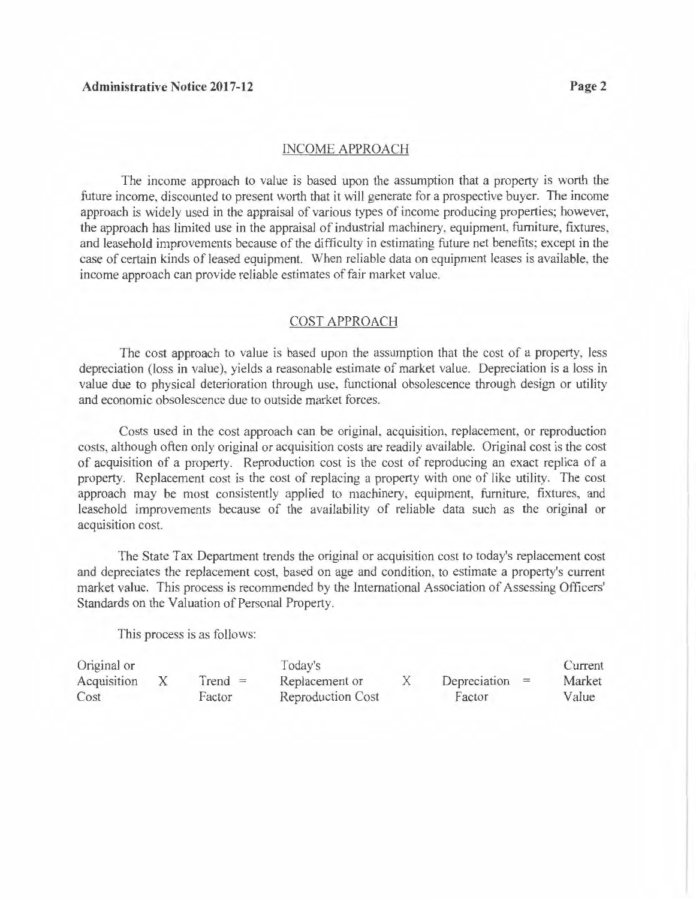#### INCOME APPROACH

The income approach to value is based upon the assumption that a property is worth the future income, discounted to present worth that it will generate for a prospective buyer. The income approach is widely used in the appraisal of various types of income producing properties; however, the approach has limited use in the appraisal of industrial machinery, equipment. furniture, fixtures, and leasehold improvements because of the difficulty in estimating future net benefits; except in the case of certain kinds of leased equipment. When reliable data on equipment leases is available, the income approach can provide reliable estimates of fair market value.

### COST APPROACH

The cost approach to value is based upon the assumption that the cost of a property, less depreciation (loss in value), yields a reasonable estimate of market value. Depreciation is a loss in value due to physical deterioration through use, functional obsolescence through design or utility and economic obsolescence due to outside market forces.

Costs used in the cost approach can be original, acquisition, replacement, or reproduction costs, although often only original or acquisition costs are readily available. Original cost is the cost of acquisition of a property. Reproduction cost is the cost of reproducing an exact replica of a property. Replacement cost is the cost of replacing a property with one of like utility. The cost approach may be most consistently applied to machinery, equipment, furniture, fixtures, and leasehold improvements because of the availability of reliable data such as the original or acquisition cost.

The State Tax Department trends the original or acquisition cost to today's replacement cost and depreciates the replacement cost, based on age and condition. to estimate a property's current market value. This process is recommended by the International Association of Assessing Officers' Standards on the Valuation of Personal Property.

This process is as follows:

| Original or |        |                          | Today's        |                  | Current |
|-------------|--------|--------------------------|----------------|------------------|---------|
| Acquisition |        | $Trend =$                | Replacement or | Depreciation $=$ | Market  |
| Cost        | Factor | <b>Reproduction Cost</b> | Factor         | Value            |         |